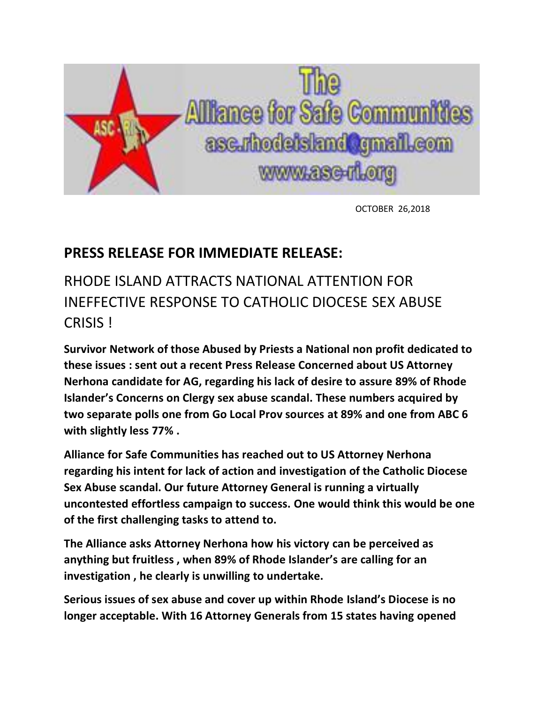

OCTOBER 26,2018

## **PRESS RELEASE FOR IMMEDIATE RELEASE:**

## RHODE ISLAND ATTRACTS NATIONAL ATTENTION FOR INEFFECTIVE RESPONSE TO CATHOLIC DIOCESE SEX ABUSE CRISIS !

**Survivor Network of those Abused by Priests a National non profit dedicated to these issues : sent out a recent Press Release Concerned about US Attorney Nerhona candidate for AG, regarding his lack of desire to assure 89% of Rhode Islander's Concerns on Clergy sex abuse scandal. These numbers acquired by two separate polls one from Go Local Prov sources at 89% and one from ABC 6 with slightly less 77% .**

**Alliance for Safe Communities has reached out to US Attorney Nerhona regarding his intent for lack of action and investigation of the Catholic Diocese Sex Abuse scandal. Our future Attorney General is running a virtually uncontested effortless campaign to success. One would think this would be one of the first challenging tasks to attend to.**

**The Alliance asks Attorney Nerhona how his victory can be perceived as anything but fruitless , when 89% of Rhode Islander's are calling for an investigation , he clearly is unwilling to undertake.**

**Serious issues of sex abuse and cover up within Rhode Island's Diocese is no longer acceptable. With 16 Attorney Generals from 15 states having opened**